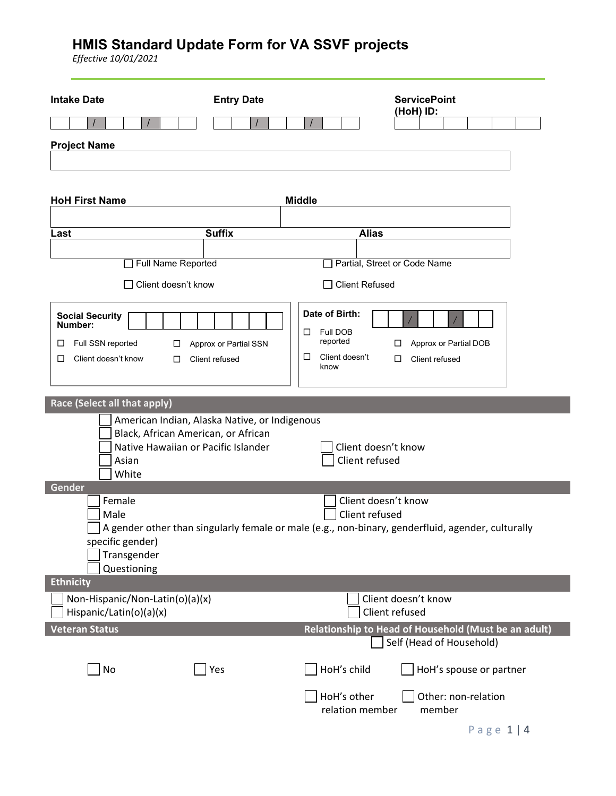| <b>Intake Date</b>                                                                                                                            | <b>Entry Date</b>                       |                                                                                 | <b>ServicePoint</b><br>(HoH) ID:                                                                  |
|-----------------------------------------------------------------------------------------------------------------------------------------------|-----------------------------------------|---------------------------------------------------------------------------------|---------------------------------------------------------------------------------------------------|
|                                                                                                                                               |                                         |                                                                                 |                                                                                                   |
| <b>Project Name</b>                                                                                                                           |                                         |                                                                                 |                                                                                                   |
|                                                                                                                                               |                                         |                                                                                 |                                                                                                   |
| <b>HoH First Name</b>                                                                                                                         |                                         | <b>Middle</b>                                                                   |                                                                                                   |
|                                                                                                                                               |                                         |                                                                                 |                                                                                                   |
| Last                                                                                                                                          | <b>Suffix</b>                           | <b>Alias</b>                                                                    |                                                                                                   |
| Full Name Reported                                                                                                                            |                                         |                                                                                 | Partial, Street or Code Name                                                                      |
| Client doesn't know                                                                                                                           |                                         | <b>Client Refused</b>                                                           |                                                                                                   |
| <b>Social Security</b><br>Number:<br>Full SSN reported<br>ப<br>□<br>Client doesn't know<br>□<br>□                                             | Approx or Partial SSN<br>Client refused | Date of Birth:<br>Full DOB<br>□<br>reported<br>Client doesn't<br>$\Box$<br>know | Approx or Partial DOB<br>□<br>□<br>Client refused                                                 |
| Race (Select all that apply)                                                                                                                  |                                         |                                                                                 |                                                                                                   |
| American Indian, Alaska Native, or Indigenous<br>Black, African American, or African<br>Native Hawaiian or Pacific Islander<br>Asian<br>White |                                         | Client doesn't know<br>Client refused                                           |                                                                                                   |
| Gender                                                                                                                                        |                                         |                                                                                 |                                                                                                   |
| Female<br>Male<br>specific gender)<br>Transgender<br>Questioning                                                                              |                                         | Client doesn't know<br>Client refused                                           | A gender other than singularly female or male (e.g., non-binary, genderfluid, agender, culturally |
| <b>Ethnicity</b>                                                                                                                              |                                         |                                                                                 |                                                                                                   |
| Non-Hispanic/Non-Latin(o)(a)(x)<br>Hispanic/Latin(o)(a)(x)                                                                                    |                                         |                                                                                 | Client doesn't know<br>Client refused                                                             |
| <b>Veteran Status</b>                                                                                                                         |                                         |                                                                                 | Relationship to Head of Household (Must be an adult)<br>Self (Head of Household)                  |
| No                                                                                                                                            | Yes                                     | HoH's child                                                                     | HoH's spouse or partner                                                                           |
|                                                                                                                                               |                                         | HoH's other<br>relation member                                                  | Other: non-relation<br>member                                                                     |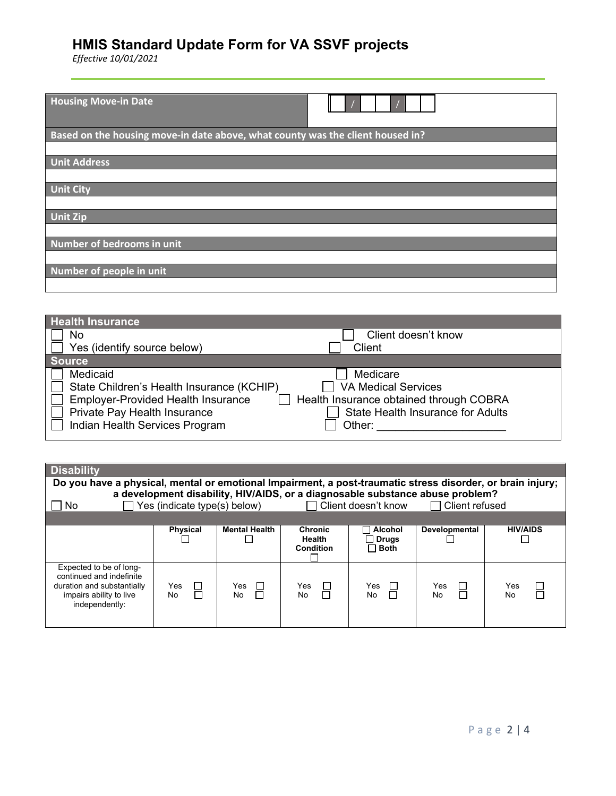| <b>Housing Move-in Date</b>                                                    |
|--------------------------------------------------------------------------------|
| Based on the housing move-in date above, what county was the client housed in? |
|                                                                                |
| <b>Unit Address</b>                                                            |
|                                                                                |
| <b>Unit City</b>                                                               |
|                                                                                |
| <b>Unit Zip</b>                                                                |
|                                                                                |
| Number of bedrooms in unit                                                     |
|                                                                                |
| Number of people in unit                                                       |
|                                                                                |

| <b>Health Insurance</b>                                                                                                                                              |                                                                                                                                         |
|----------------------------------------------------------------------------------------------------------------------------------------------------------------------|-----------------------------------------------------------------------------------------------------------------------------------------|
| No                                                                                                                                                                   | Client doesn't know                                                                                                                     |
| Yes (identify source below)                                                                                                                                          | Client                                                                                                                                  |
| <b>Source</b>                                                                                                                                                        |                                                                                                                                         |
| Medicaid<br>State Children's Health Insurance (KCHIP)<br><b>Employer-Provided Health Insurance</b><br>Private Pay Health Insurance<br>Indian Health Services Program | Medicare<br><b>VA Medical Services</b><br>Health Insurance obtained through COBRA<br><b>State Health Insurance for Adults</b><br>Other: |

| <b>Disability</b>                                                                                                              |                              |                      |                                              |                                        |                                                                                                        |                  |
|--------------------------------------------------------------------------------------------------------------------------------|------------------------------|----------------------|----------------------------------------------|----------------------------------------|--------------------------------------------------------------------------------------------------------|------------------|
| Do you have a physical, mental or emotional Impairment, a post-traumatic stress disorder, or brain injury;                     |                              |                      |                                              |                                        |                                                                                                        |                  |
| No.                                                                                                                            | Yes (indicate type(s) below) |                      |                                              | □ Client doesn't know                  | a development disability, HIV/AIDS, or a diagnosable substance abuse problem?<br>$\Box$ Client refused |                  |
|                                                                                                                                |                              |                      |                                              |                                        |                                                                                                        |                  |
|                                                                                                                                | <b>Physical</b>              | <b>Mental Health</b> | <b>Chronic</b><br><b>Health</b><br>Condition | Alcohol<br>$\Box$ Drugs<br>$\Box$ Both | Developmental                                                                                          | <b>HIV/AIDS</b>  |
| Expected to be of long-<br>continued and indefinite<br>duration and substantially<br>impairs ability to live<br>independently: | Yes<br>⊔<br>П<br>No          | Yes<br>$\Box$<br>No. | Yes<br>$\sim$<br>No                          | Yes<br>$\Box$<br>П<br>No.              | Yes<br>No                                                                                              | Yes<br><b>No</b> |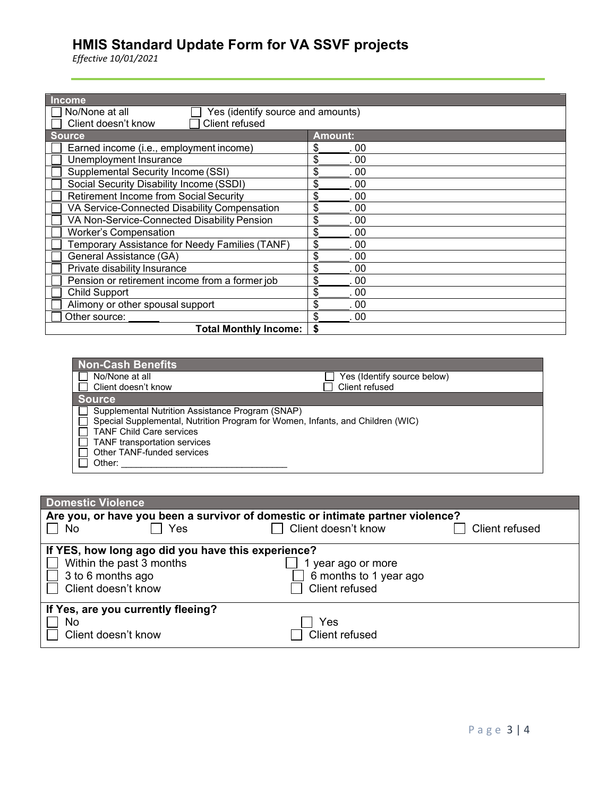| <b>Income</b>                                       |                |  |
|-----------------------------------------------------|----------------|--|
| Yes (identify source and amounts)<br>No/None at all |                |  |
| Client refused<br>Client doesn't know               |                |  |
| <b>Source</b>                                       | <b>Amount:</b> |  |
| Earned income (i.e., employment income)             | 00             |  |
| Unemployment Insurance                              | \$<br>00       |  |
| Supplemental Security Income (SSI)                  | \$<br>00       |  |
| Social Security Disability Income (SSDI)            | \$<br>00       |  |
| <b>Retirement Income from Social Security</b>       | \$<br>00       |  |
| VA Service-Connected Disability Compensation        | \$<br>00       |  |
| VA Non-Service-Connected Disability Pension         | \$<br>00       |  |
| <b>Worker's Compensation</b>                        | \$<br>00       |  |
| Temporary Assistance for Needy Families (TANF)      | \$<br>00       |  |
| General Assistance (GA)                             | \$<br>00       |  |
| Private disability Insurance                        | \$<br>00       |  |
| Pension or retirement income from a former job      | 00<br>\$       |  |
| <b>Child Support</b>                                | \$<br>-00      |  |
| Alimony or other spousal support                    | \$<br>00       |  |
| Other source:                                       | . 00           |  |
| <b>Total Monthly Income:</b>                        |                |  |

| Non-Cash Benefits                                                                                                                                                                                                                          |                             |
|--------------------------------------------------------------------------------------------------------------------------------------------------------------------------------------------------------------------------------------------|-----------------------------|
| No/None at all                                                                                                                                                                                                                             | Yes (Identify source below) |
| Client doesn't know                                                                                                                                                                                                                        | Client refused              |
| <b>Source</b>                                                                                                                                                                                                                              |                             |
| Supplemental Nutrition Assistance Program (SNAP)<br>Special Supplemental, Nutrition Program for Women, Infants, and Children (WIC)<br><b>TANF Child Care services</b><br><b>TANF</b> transportation services<br>Other TANF-funded services |                             |
| Other:                                                                                                                                                                                                                                     |                             |

| <b>Domestic Violence</b>                                                       |                     |                |  |  |
|--------------------------------------------------------------------------------|---------------------|----------------|--|--|
| Are you, or have you been a survivor of domestic or intimate partner violence? |                     |                |  |  |
| Yes<br>No                                                                      | Client doesn't know | Client refused |  |  |
| If YES, how long ago did you have this experience?                             |                     |                |  |  |
| Within the past 3 months                                                       | 1 year ago or more  |                |  |  |
| 3 to 6 months ago<br>6 months to 1 year ago                                    |                     |                |  |  |
| Client doesn't know                                                            | Client refused      |                |  |  |
|                                                                                |                     |                |  |  |
| If Yes, are you currently fleeing?                                             |                     |                |  |  |
| No                                                                             | Yes                 |                |  |  |
| Client doesn't know                                                            | Client refused      |                |  |  |